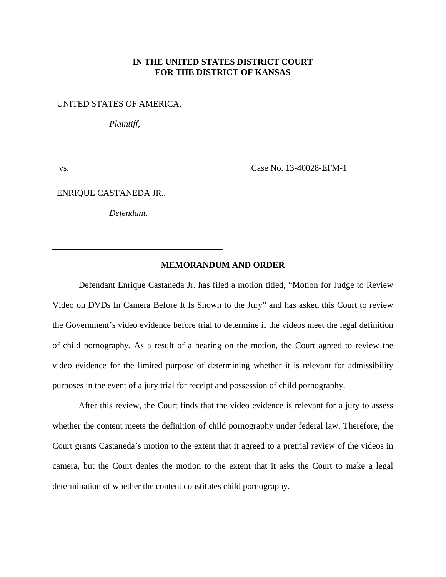## **IN THE UNITED STATES DISTRICT COURT FOR THE DISTRICT OF KANSAS**

## UNITED STATES OF AMERICA,

*Plaintiff,*

ENRIQUE CASTANEDA JR.,

*Defendant.*

vs. Case No. 13-40028-EFM-1

# **MEMORANDUM AND ORDER**

 Defendant Enrique Castaneda Jr. has filed a motion titled, "Motion for Judge to Review Video on DVDs In Camera Before It Is Shown to the Jury" and has asked this Court to review the Government's video evidence before trial to determine if the videos meet the legal definition of child pornography. As a result of a hearing on the motion, the Court agreed to review the video evidence for the limited purpose of determining whether it is relevant for admissibility purposes in the event of a jury trial for receipt and possession of child pornography.

After this review, the Court finds that the video evidence is relevant for a jury to assess whether the content meets the definition of child pornography under federal law. Therefore, the Court grants Castaneda's motion to the extent that it agreed to a pretrial review of the videos in camera, but the Court denies the motion to the extent that it asks the Court to make a legal determination of whether the content constitutes child pornography.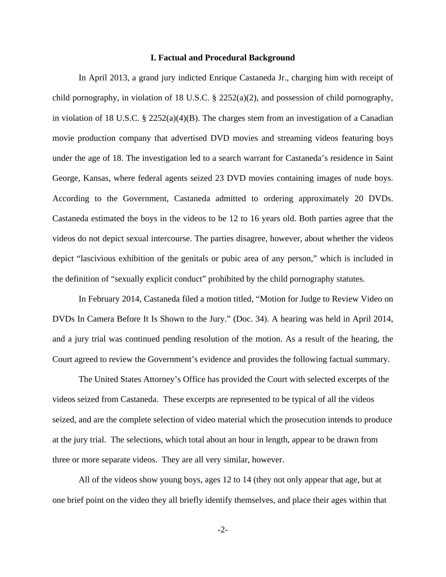### **I. Factual and Procedural Background**

 In April 2013, a grand jury indicted Enrique Castaneda Jr., charging him with receipt of child pornography, in violation of 18 U.S.C. § 2252(a)(2), and possession of child pornography, in violation of 18 U.S.C. § 2252(a)(4)(B). The charges stem from an investigation of a Canadian movie production company that advertised DVD movies and streaming videos featuring boys under the age of 18. The investigation led to a search warrant for Castaneda's residence in Saint George, Kansas, where federal agents seized 23 DVD movies containing images of nude boys. According to the Government, Castaneda admitted to ordering approximately 20 DVDs. Castaneda estimated the boys in the videos to be 12 to 16 years old. Both parties agree that the videos do not depict sexual intercourse. The parties disagree, however, about whether the videos depict "lascivious exhibition of the genitals or pubic area of any person," which is included in the definition of "sexually explicit conduct" prohibited by the child pornography statutes.

 In February 2014, Castaneda filed a motion titled, "Motion for Judge to Review Video on DVDs In Camera Before It Is Shown to the Jury." (Doc. 34). A hearing was held in April 2014, and a jury trial was continued pending resolution of the motion. As a result of the hearing, the Court agreed to review the Government's evidence and provides the following factual summary.

The United States Attorney's Office has provided the Court with selected excerpts of the videos seized from Castaneda. These excerpts are represented to be typical of all the videos seized, and are the complete selection of video material which the prosecution intends to produce at the jury trial. The selections, which total about an hour in length, appear to be drawn from three or more separate videos. They are all very similar, however.

 All of the videos show young boys, ages 12 to 14 (they not only appear that age, but at one brief point on the video they all briefly identify themselves, and place their ages within that

-2-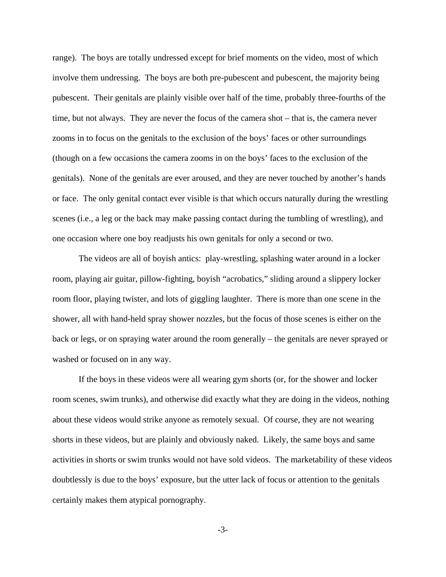range). The boys are totally undressed except for brief moments on the video, most of which involve them undressing. The boys are both pre-pubescent and pubescent, the majority being pubescent. Their genitals are plainly visible over half of the time, probably three-fourths of the time, but not always. They are never the focus of the camera shot – that is, the camera never zooms in to focus on the genitals to the exclusion of the boys' faces or other surroundings (though on a few occasions the camera zooms in on the boys' faces to the exclusion of the genitals). None of the genitals are ever aroused, and they are never touched by another's hands or face. The only genital contact ever visible is that which occurs naturally during the wrestling scenes (i.e., a leg or the back may make passing contact during the tumbling of wrestling), and one occasion where one boy readjusts his own genitals for only a second or two.

 The videos are all of boyish antics: play-wrestling, splashing water around in a locker room, playing air guitar, pillow-fighting, boyish "acrobatics," sliding around a slippery locker room floor, playing twister, and lots of giggling laughter. There is more than one scene in the shower, all with hand-held spray shower nozzles, but the focus of those scenes is either on the back or legs, or on spraying water around the room generally – the genitals are never sprayed or washed or focused on in any way.

 If the boys in these videos were all wearing gym shorts (or, for the shower and locker room scenes, swim trunks), and otherwise did exactly what they are doing in the videos, nothing about these videos would strike anyone as remotely sexual. Of course, they are not wearing shorts in these videos, but are plainly and obviously naked. Likely, the same boys and same activities in shorts or swim trunks would not have sold videos. The marketability of these videos doubtlessly is due to the boys' exposure, but the utter lack of focus or attention to the genitals certainly makes them atypical pornography.

-3-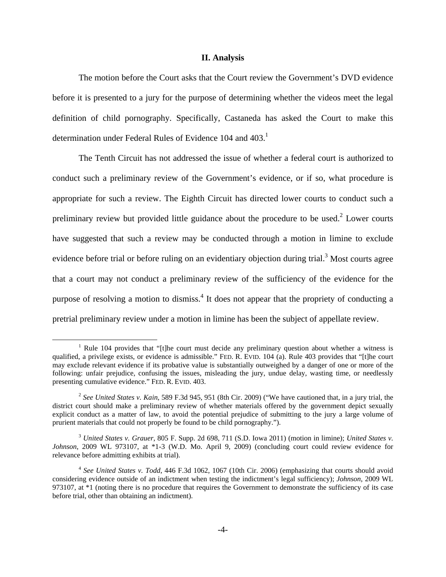#### **II. Analysis**

 The motion before the Court asks that the Court review the Government's DVD evidence before it is presented to a jury for the purpose of determining whether the videos meet the legal definition of child pornography. Specifically, Castaneda has asked the Court to make this determination under Federal Rules of Evidence 104 and 403.<sup>1</sup>

The Tenth Circuit has not addressed the issue of whether a federal court is authorized to conduct such a preliminary review of the Government's evidence, or if so, what procedure is appropriate for such a review. The Eighth Circuit has directed lower courts to conduct such a preliminary review but provided little guidance about the procedure to be used. $2$  Lower courts have suggested that such a review may be conducted through a motion in limine to exclude evidence before trial or before ruling on an evidentiary objection during trial.<sup>3</sup> Most courts agree that a court may not conduct a preliminary review of the sufficiency of the evidence for the purpose of resolving a motion to dismiss.<sup>4</sup> It does not appear that the propriety of conducting a pretrial preliminary review under a motion in limine has been the subject of appellate review.

 $\frac{1}{1}$ <sup>1</sup> Rule 104 provides that "[t]he court must decide any preliminary question about whether a witness is qualified, a privilege exists, or evidence is admissible." FED. R. EVID. 104 (a). Rule 403 provides that "[t]he court may exclude relevant evidence if its probative value is substantially outweighed by a danger of one or more of the following: unfair prejudice, confusing the issues, misleading the jury, undue delay, wasting time, or needlessly presenting cumulative evidence." FED. R. EVID. 403.

<sup>2</sup> *See United States v. Kain*, 589 F.3d 945, 951 (8th Cir. 2009) ("We have cautioned that, in a jury trial, the district court should make a preliminary review of whether materials offered by the government depict sexually explicit conduct as a matter of law, to avoid the potential prejudice of submitting to the jury a large volume of prurient materials that could not properly be found to be child pornography.").

<sup>3</sup> *United States v. Grauer*, 805 F. Supp. 2d 698, 711 (S.D. Iowa 2011) (motion in limine); *United States v. Johnson*, 2009 WL 973107, at \*1-3 (W.D. Mo. April 9, 2009) (concluding court could review evidence for relevance before admitting exhibits at trial).

<sup>4</sup> *See United States v. Todd*, 446 F.3d 1062, 1067 (10th Cir. 2006) (emphasizing that courts should avoid considering evidence outside of an indictment when testing the indictment's legal sufficiency); *Johnson*, 2009 WL 973107, at  $*1$  (noting there is no procedure that requires the Government to demonstrate the sufficiency of its case before trial, other than obtaining an indictment).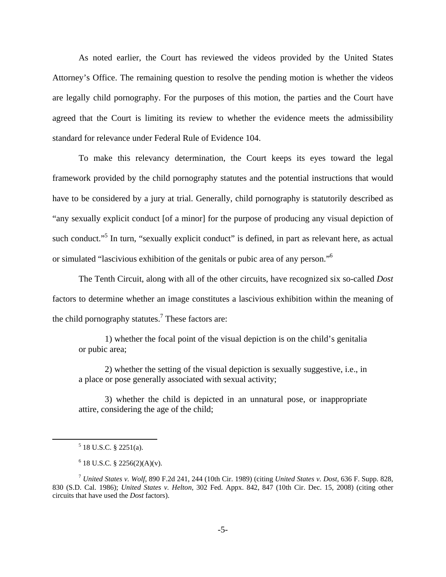As noted earlier, the Court has reviewed the videos provided by the United States Attorney's Office. The remaining question to resolve the pending motion is whether the videos are legally child pornography. For the purposes of this motion, the parties and the Court have agreed that the Court is limiting its review to whether the evidence meets the admissibility standard for relevance under Federal Rule of Evidence 104.

To make this relevancy determination, the Court keeps its eyes toward the legal framework provided by the child pornography statutes and the potential instructions that would have to be considered by a jury at trial. Generally, child pornography is statutorily described as "any sexually explicit conduct [of a minor] for the purpose of producing any visual depiction of such conduct."<sup>5</sup> In turn, "sexually explicit conduct" is defined, in part as relevant here, as actual or simulated "lascivious exhibition of the genitals or pubic area of any person."6

The Tenth Circuit, along with all of the other circuits, have recognized six so-called *Dost* factors to determine whether an image constitutes a lascivious exhibition within the meaning of the child pornography statutes.<sup>7</sup> These factors are:

1) whether the focal point of the visual depiction is on the child's genitalia or pubic area;

2) whether the setting of the visual depiction is sexually suggestive, i.e., in a place or pose generally associated with sexual activity;

3) whether the child is depicted in an unnatural pose, or inappropriate attire, considering the age of the child;

 $\frac{1}{5}$  $5$  18 U.S.C. § 2251(a).

 $6$  18 U.S.C. § 2256(2)(A)(v).

<sup>7</sup> *United States v. Wolf*, 890 F.2d 241, 244 (10th Cir. 1989) (citing *United States v. Dost*, 636 F. Supp. 828, 830 (S.D. Cal. 1986); *United States v. Helton*, 302 Fed. Appx. 842, 847 (10th Cir. Dec. 15, 2008) (citing other circuits that have used the *Dost* factors).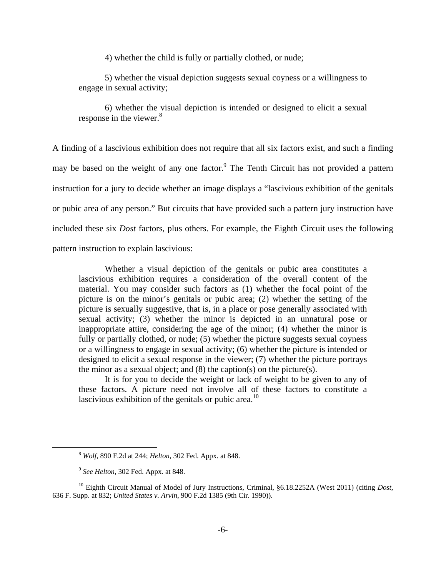4) whether the child is fully or partially clothed, or nude;

5) whether the visual depiction suggests sexual coyness or a willingness to engage in sexual activity;

6) whether the visual depiction is intended or designed to elicit a sexual response in the viewer.<sup>8</sup>

A finding of a lascivious exhibition does not require that all six factors exist, and such a finding may be based on the weight of any one factor.<sup>9</sup> The Tenth Circuit has not provided a pattern instruction for a jury to decide whether an image displays a "lascivious exhibition of the genitals or pubic area of any person." But circuits that have provided such a pattern jury instruction have included these six *Dost* factors, plus others. For example, the Eighth Circuit uses the following pattern instruction to explain lascivious:

 Whether a visual depiction of the genitals or pubic area constitutes a lascivious exhibition requires a consideration of the overall content of the material. You may consider such factors as (1) whether the focal point of the picture is on the minor's genitals or pubic area; (2) whether the setting of the picture is sexually suggestive, that is, in a place or pose generally associated with sexual activity; (3) whether the minor is depicted in an unnatural pose or inappropriate attire, considering the age of the minor; (4) whether the minor is fully or partially clothed, or nude; (5) whether the picture suggests sexual coyness or a willingness to engage in sexual activity; (6) whether the picture is intended or designed to elicit a sexual response in the viewer; (7) whether the picture portrays the minor as a sexual object; and  $(8)$  the caption(s) on the picture(s).

It is for you to decide the weight or lack of weight to be given to any of these factors. A picture need not involve all of these factors to constitute a lascivious exhibition of the genitals or pubic area.<sup>10</sup>

 <sup>8</sup> *Wolf*, 890 F.2d at 244; *Helton*, 302 Fed. Appx. at 848.

<sup>9</sup> *See Helton*, 302 Fed. Appx. at 848.

<sup>10</sup> Eighth Circuit Manual of Model of Jury Instructions, Criminal, §6.18.2252A (West 2011) (citing *Dost*, 636 F. Supp. at 832; *United States v. Arvin*, 900 F.2d 1385 (9th Cir. 1990)).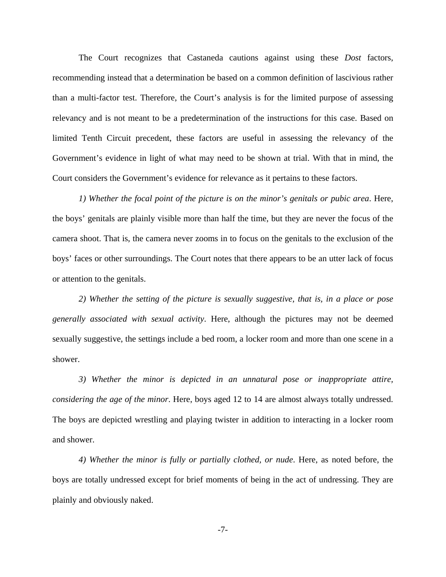The Court recognizes that Castaneda cautions against using these *Dost* factors, recommending instead that a determination be based on a common definition of lascivious rather than a multi-factor test. Therefore, the Court's analysis is for the limited purpose of assessing relevancy and is not meant to be a predetermination of the instructions for this case. Based on limited Tenth Circuit precedent, these factors are useful in assessing the relevancy of the Government's evidence in light of what may need to be shown at trial. With that in mind, the Court considers the Government's evidence for relevance as it pertains to these factors.

*1) Whether the focal point of the picture is on the minor's genitals or pubic area*. Here, the boys' genitals are plainly visible more than half the time, but they are never the focus of the camera shoot. That is, the camera never zooms in to focus on the genitals to the exclusion of the boys' faces or other surroundings. The Court notes that there appears to be an utter lack of focus or attention to the genitals.

*2) Whether the setting of the picture is sexually suggestive, that is, in a place or pose generally associated with sexual activity*. Here, although the pictures may not be deemed sexually suggestive, the settings include a bed room, a locker room and more than one scene in a shower.

*3) Whether the minor is depicted in an unnatural pose or inappropriate attire, considering the age of the minor*. Here, boys aged 12 to 14 are almost always totally undressed. The boys are depicted wrestling and playing twister in addition to interacting in a locker room and shower.

*4) Whether the minor is fully or partially clothed, or nude*. Here, as noted before, the boys are totally undressed except for brief moments of being in the act of undressing. They are plainly and obviously naked.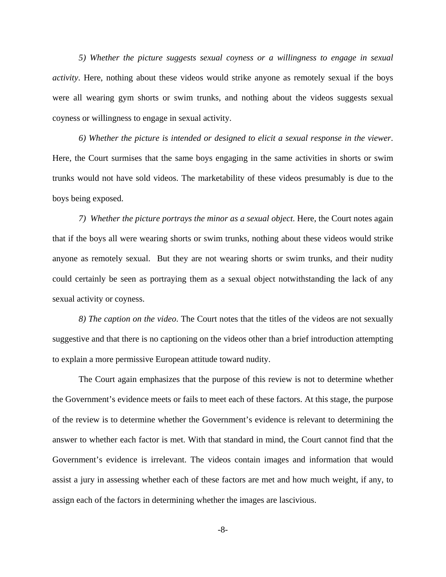*5) Whether the picture suggests sexual coyness or a willingness to engage in sexual activity*. Here, nothing about these videos would strike anyone as remotely sexual if the boys were all wearing gym shorts or swim trunks, and nothing about the videos suggests sexual coyness or willingness to engage in sexual activity.

*6) Whether the picture is intended or designed to elicit a sexual response in the viewer*. Here, the Court surmises that the same boys engaging in the same activities in shorts or swim trunks would not have sold videos. The marketability of these videos presumably is due to the boys being exposed.

*7) Whether the picture portrays the minor as a sexual object*. Here, the Court notes again that if the boys all were wearing shorts or swim trunks, nothing about these videos would strike anyone as remotely sexual. But they are not wearing shorts or swim trunks, and their nudity could certainly be seen as portraying them as a sexual object notwithstanding the lack of any sexual activity or coyness.

*8) The caption on the video*. The Court notes that the titles of the videos are not sexually suggestive and that there is no captioning on the videos other than a brief introduction attempting to explain a more permissive European attitude toward nudity.

The Court again emphasizes that the purpose of this review is not to determine whether the Government's evidence meets or fails to meet each of these factors. At this stage, the purpose of the review is to determine whether the Government's evidence is relevant to determining the answer to whether each factor is met. With that standard in mind, the Court cannot find that the Government's evidence is irrelevant. The videos contain images and information that would assist a jury in assessing whether each of these factors are met and how much weight, if any, to assign each of the factors in determining whether the images are lascivious.